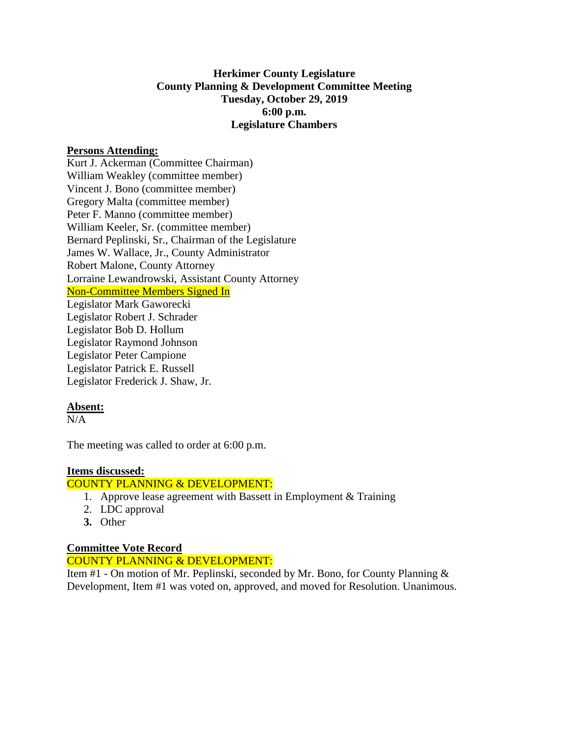# **Herkimer County Legislature County Planning & Development Committee Meeting Tuesday, October 29, 2019 6:00 p.m. Legislature Chambers**

## **Persons Attending:**

Kurt J. Ackerman (Committee Chairman) William Weakley (committee member) Vincent J. Bono (committee member) Gregory Malta (committee member) Peter F. Manno (committee member) William Keeler, Sr. (committee member) Bernard Peplinski, Sr., Chairman of the Legislature James W. Wallace, Jr., County Administrator Robert Malone, County Attorney Lorraine Lewandrowski, Assistant County Attorney Non-Committee Members Signed In Legislator Mark Gaworecki Legislator Robert J. Schrader Legislator Bob D. Hollum Legislator Raymond Johnson Legislator Peter Campione Legislator Patrick E. Russell Legislator Frederick J. Shaw, Jr.

### **Absent:**

 $N/A$ 

The meeting was called to order at 6:00 p.m.

#### **Items discussed:**

COUNTY PLANNING & DEVELOPMENT:

- 1. Approve lease agreement with Bassett in Employment & Training
- 2. LDC approval
- **3.** Other

# **Committee Vote Record**

# COUNTY PLANNING & DEVELOPMENT:

Item #1 - On motion of Mr. Peplinski, seconded by Mr. Bono, for County Planning & Development, Item #1 was voted on, approved, and moved for Resolution. Unanimous.